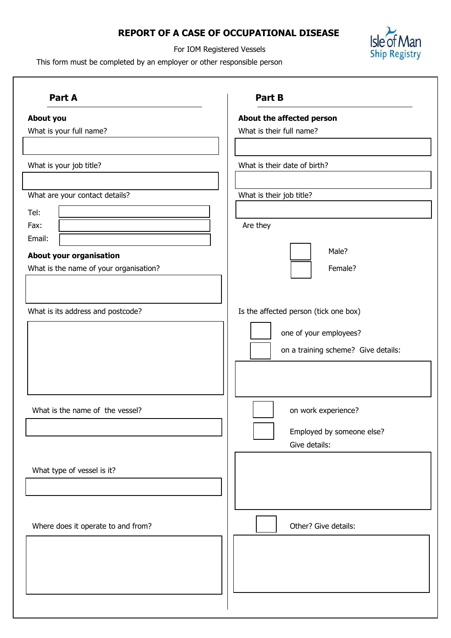# **REPORT OF A CASE OF OCCUPATIONAL DISEASE**



For IOM Registered Vessels

This form must be completed by an employer or other responsible person

| Part A                                 | Part B                                |
|----------------------------------------|---------------------------------------|
| About you                              | About the affected person             |
| What is your full name?                | What is their full name?              |
| What is your job title?                | What is their date of birth?          |
|                                        |                                       |
| What are your contact details?         | What is their job title?              |
| Tel:<br>Fax:                           | Are they                              |
| Email:                                 |                                       |
| About your organisation                | Male?                                 |
| What is the name of your organisation? | Female?                               |
|                                        |                                       |
|                                        |                                       |
| What is its address and postcode?      | Is the affected person (tick one box) |
|                                        | one of your employees?                |
|                                        | on a training scheme? Give details:   |
|                                        |                                       |
|                                        |                                       |
|                                        |                                       |
| What is the name of the vessel?        | on work experience?                   |
|                                        | Employed by someone else?             |
|                                        | Give details:                         |
|                                        |                                       |
| What type of vessel is it?             |                                       |
|                                        |                                       |
|                                        |                                       |
|                                        |                                       |
| Where does it operate to and from?     | Other? Give details:                  |
|                                        |                                       |
|                                        |                                       |
|                                        |                                       |
|                                        |                                       |